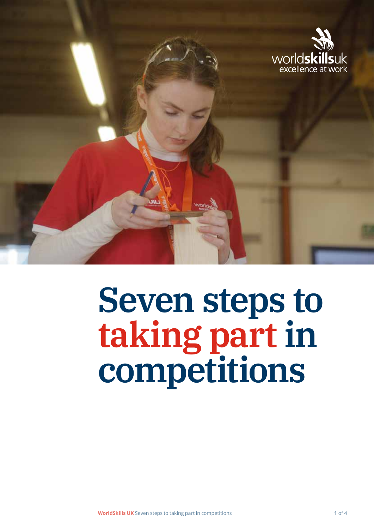

# **Seven steps to taking part in competitions**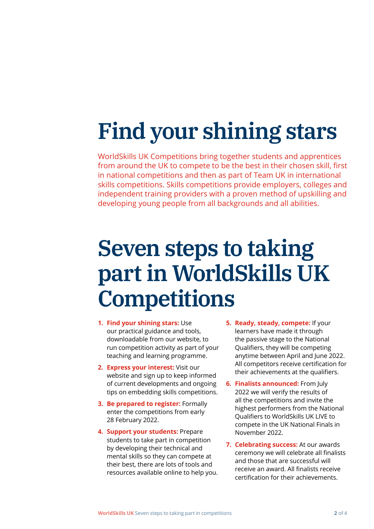# **Find your shining stars**

WorldSkills UK Competitions bring together students and apprentices from around the UK to compete to be the best in their chosen skill, first in national competitions and then as part of Team UK in international skills competitions. Skills competitions provide employers, colleges and independent training providers with a proven method of upskilling and developing young people from all backgrounds and all abilities.

# **Seven steps to taking part in WorldSkills UK Competitions**

- **1. Find your shining stars:** Use our practical guidance and tools, downloadable from our website, to run competition activity as part of your teaching and learning programme.
- **2. Express your interest:** Visit our website and sign up to keep informed of current developments and ongoing tips on embedding skills competitions.
- **3. Be prepared to register:** Formally enter the competitions from early 28 February 2022.
- **4. Support your students:** Prepare students to take part in competition by developing their technical and mental skills so they can compete at their best, there are lots of tools and resources available online to help you.
- **5. Ready, steady, compete:** If your learners have made it through the passive stage to the National Qualifiers, they will be competing anytime between April and June 2022. All competitors receive certification for their achievements at the qualifiers.
- **6. Finalists announced:** From July 2022 we will verify the results of all the competitions and invite the highest performers from the National Qualifiers to WorldSkills UK LIVE to compete in the UK National Finals in November 2022.
- **7. Celebrating success:** At our awards ceremony we will celebrate all finalists and those that are successful will receive an award. All finalists receive certification for their achievements.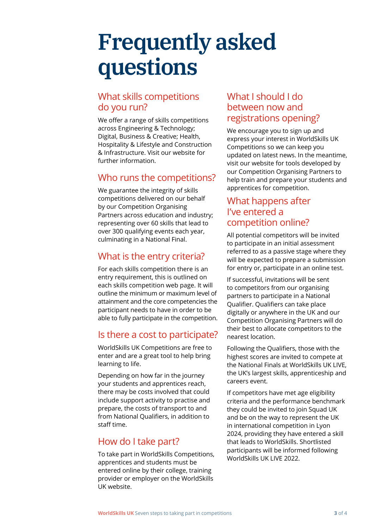## **Frequently asked questions**

#### What skills competitions do you run?

We offer a range of skills competitions across Engineering & Technology; Digital, Business & Creative; Health, Hospitality & Lifestyle and Construction & Infrastructure. Visit our website for further information.

#### Who runs the competitions?

We guarantee the integrity of skills competitions delivered on our behalf by our Competition Organising Partners across education and industry; representing over 60 skills that lead to over 300 qualifying events each year, culminating in a National Final.

#### What is the entry criteria?

For each skills competition there is an entry requirement, this is outlined on each skills competition web page. It will outline the minimum or maximum level of attainment and the core competencies the participant needs to have in order to be able to fully participate in the competition.

#### Is there a cost to participate?

WorldSkills UK Competitions are free to enter and are a great tool to help bring learning to life.

Depending on how far in the journey your students and apprentices reach, there may be costs involved that could include support activity to practise and prepare, the costs of transport to and from National Qualifiers, in addition to staff time.

#### How do I take part?

To take part in WorldSkills Competitions, apprentices and students must be entered online by their college, training provider or employer on the WorldSkills UK website.

#### What I should I do between now and registrations opening?

We encourage you to sign up and express your interest in WorldSkills UK Competitions so we can keep you updated on latest news. In the meantime, visit our website for tools developed by our Competition Organising Partners to help train and prepare your students and apprentices for competition.

#### What happens after I've entered a competition online?

All potential competitors will be invited to participate in an initial assessment referred to as a passive stage where they will be expected to prepare a submission for entry or, participate in an online test.

If successful, invitations will be sent to competitors from our organising partners to participate in a National Qualifier. Qualifiers can take place digitally or anywhere in the UK and our Competition Organising Partners will do their best to allocate competitors to the nearest location.

Following the Qualifiers, those with the highest scores are invited to compete at the National Finals at WorldSkills UK LIVE, the UK's largest skills, apprenticeship and careers event.

If competitors have met age eligibility criteria and the performance benchmark they could be invited to join Squad UK and be on the way to represent the UK in international competition in Lyon 2024, providing they have entered a skill that leads to WorldSkills. Shortlisted participants will be informed following WorldSkills UK LIVE 2022.